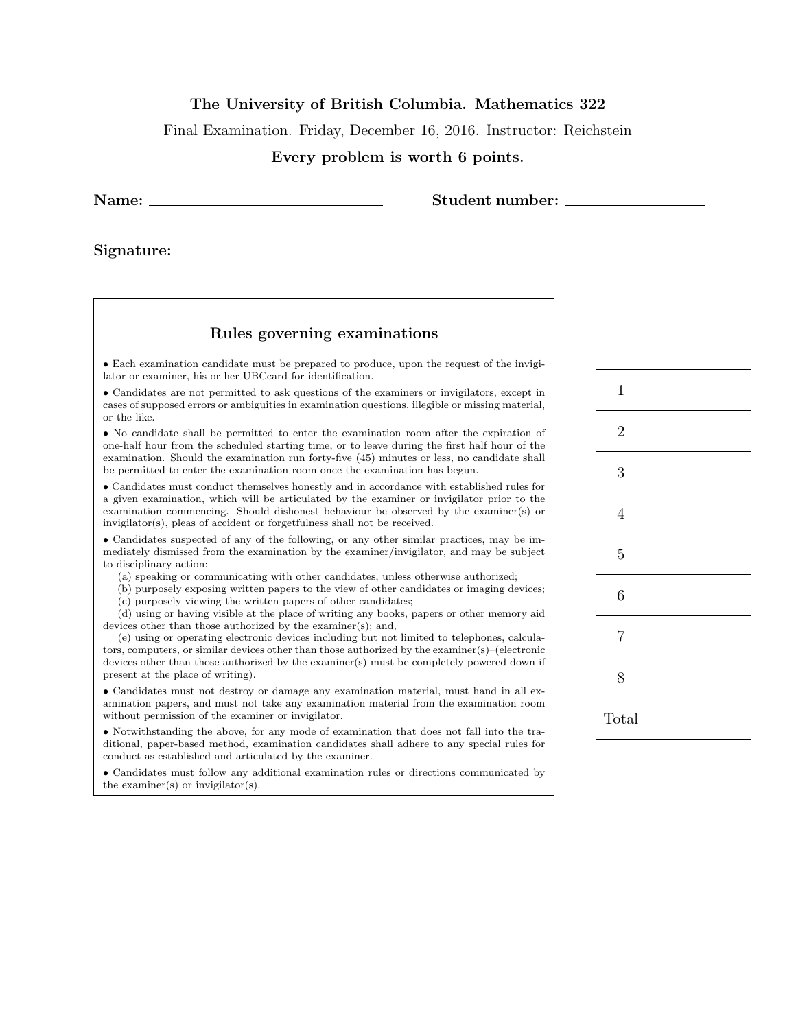## The University of British Columbia. Mathematics 322

Final Examination. Friday, December 16, 2016. Instructor: Reichstein

## Every problem is worth 6 points.

Name: Student number:

Signature:

## Rules governing examinations

• Each examination candidate must be prepared to produce, upon the request of the invigilator or examiner, his or her UBCcard for identification.

• Candidates are not permitted to ask questions of the examiners or invigilators, except in cases of supposed errors or ambiguities in examination questions, illegible or missing material, or the like.

• No candidate shall be permitted to enter the examination room after the expiration of one-half hour from the scheduled starting time, or to leave during the first half hour of the examination. Should the examination run forty-five (45) minutes or less, no candidate shall be permitted to enter the examination room once the examination has begun.

• Candidates must conduct themselves honestly and in accordance with established rules for a given examination, which will be articulated by the examiner or invigilator prior to the examination commencing. Should dishonest behaviour be observed by the examiner(s) or invigilator(s), pleas of accident or forgetfulness shall not be received.

• Candidates suspected of any of the following, or any other similar practices, may be immediately dismissed from the examination by the examiner/invigilator, and may be subject to disciplinary action:

(a) speaking or communicating with other candidates, unless otherwise authorized;

(b) purposely exposing written papers to the view of other candidates or imaging devices; (c) purposely viewing the written papers of other candidates;

(d) using or having visible at the place of writing any books, papers or other memory aid devices other than those authorized by the examiner(s); and,

(e) using or operating electronic devices including but not limited to telephones, calculators, computers, or similar devices other than those authorized by the examiner(s)–(electronic devices other than those authorized by the examiner(s) must be completely powered down if present at the place of writing).

• Candidates must not destroy or damage any examination material, must hand in all examination papers, and must not take any examination material from the examination room without permission of the examiner or invigilator.

• Notwithstanding the above, for any mode of examination that does not fall into the traditional, paper-based method, examination candidates shall adhere to any special rules for conduct as established and articulated by the examiner.

• Candidates must follow any additional examination rules or directions communicated by the examiner(s) or invigilator(s).

| $\mathbf{1}$   |  |
|----------------|--|
| $\overline{2}$ |  |
| $\overline{3}$ |  |
| $\overline{4}$ |  |
| $\overline{5}$ |  |
| $\overline{6}$ |  |
| $\overline{7}$ |  |
| 8              |  |
| Total          |  |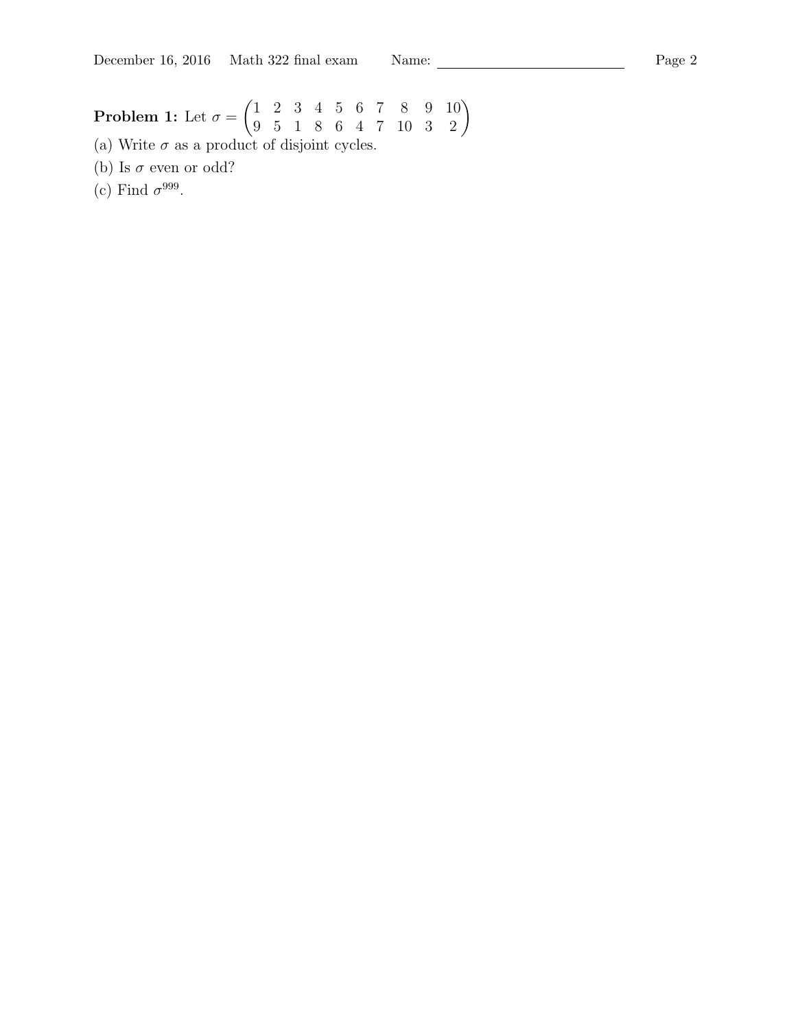## Problem 1: Let  $\sigma =$  $\begin{pmatrix} 1 & 2 & 3 & 4 & 5 & 6 & 7 & 8 & 9 & 10 \\ 9 & 5 & 1 & 8 & 6 & 4 & 7 & 10 & 3 & 2 \end{pmatrix}$

(a) Write  $\sigma$  as a product of disjoint cycles.

(b) Is  $\sigma$  even or odd?

(c) Find  $\sigma^{999}$ .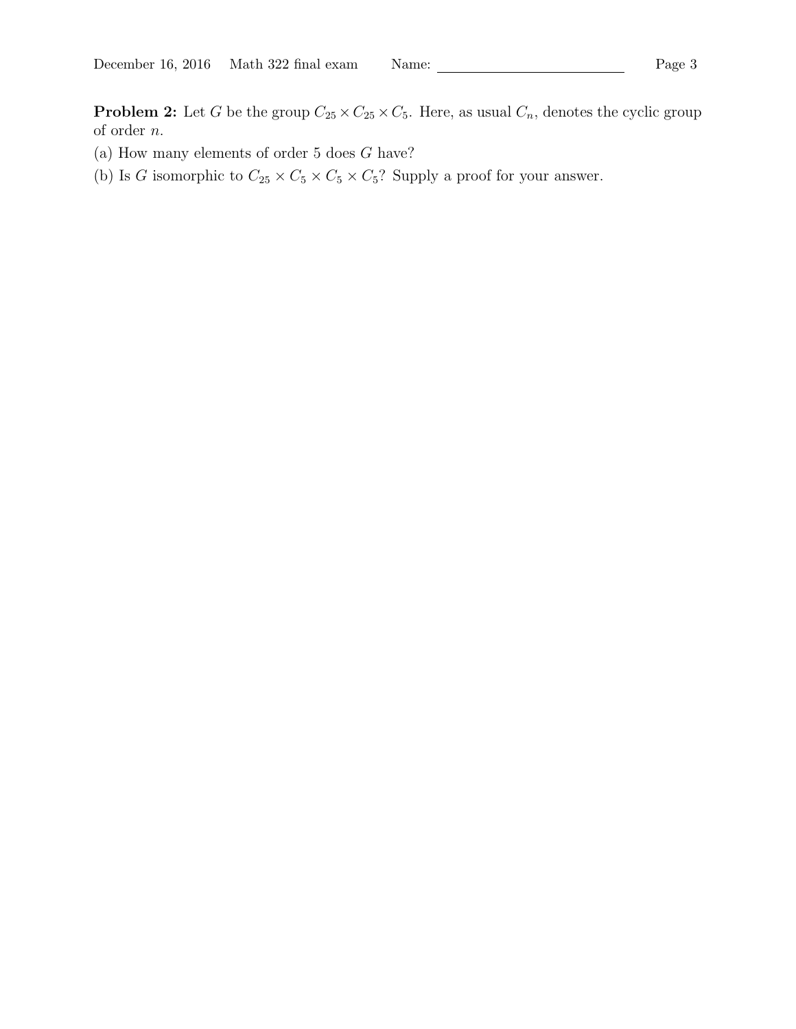**Problem 2:** Let G be the group  $C_{25} \times C_{25} \times C_5$ . Here, as usual  $C_n$ , denotes the cyclic group of order n.

- (a) How many elements of order  $5$  does  $G$  have?
- (b) Is G isomorphic to  $C_{25} \times C_5 \times C_5 \times C_5$ ? Supply a proof for your answer.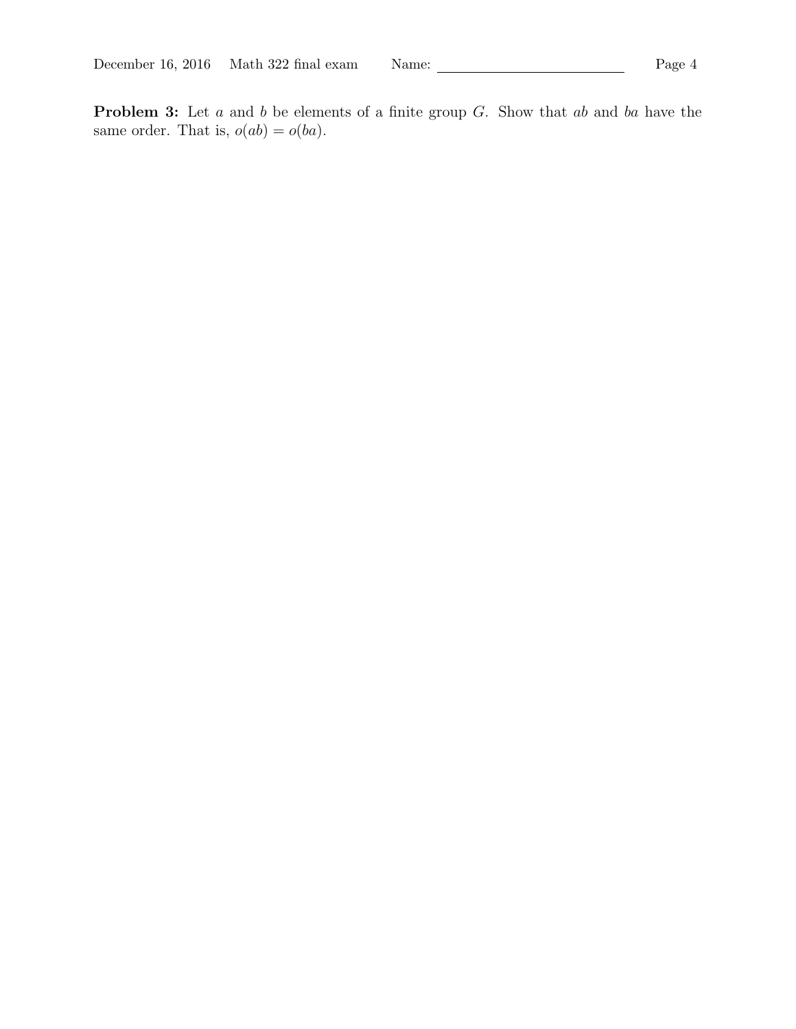Problem 3: Let a and b be elements of a finite group G. Show that ab and ba have the same order. That is,  $o(ab) = o(ba)$ .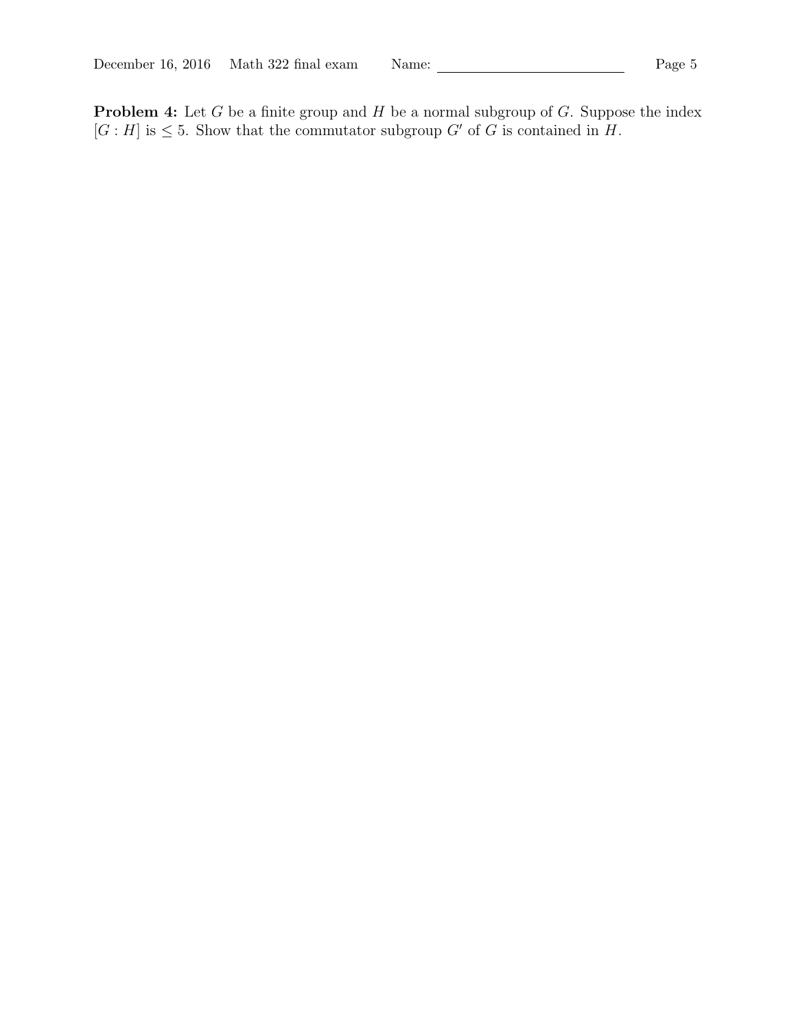**Problem 4:** Let G be a finite group and  $H$  be a normal subgroup of  $G$ . Suppose the index  $[G : H]$  is  $\leq 5$ . Show that the commutator subgroup  $G'$  of G is contained in H.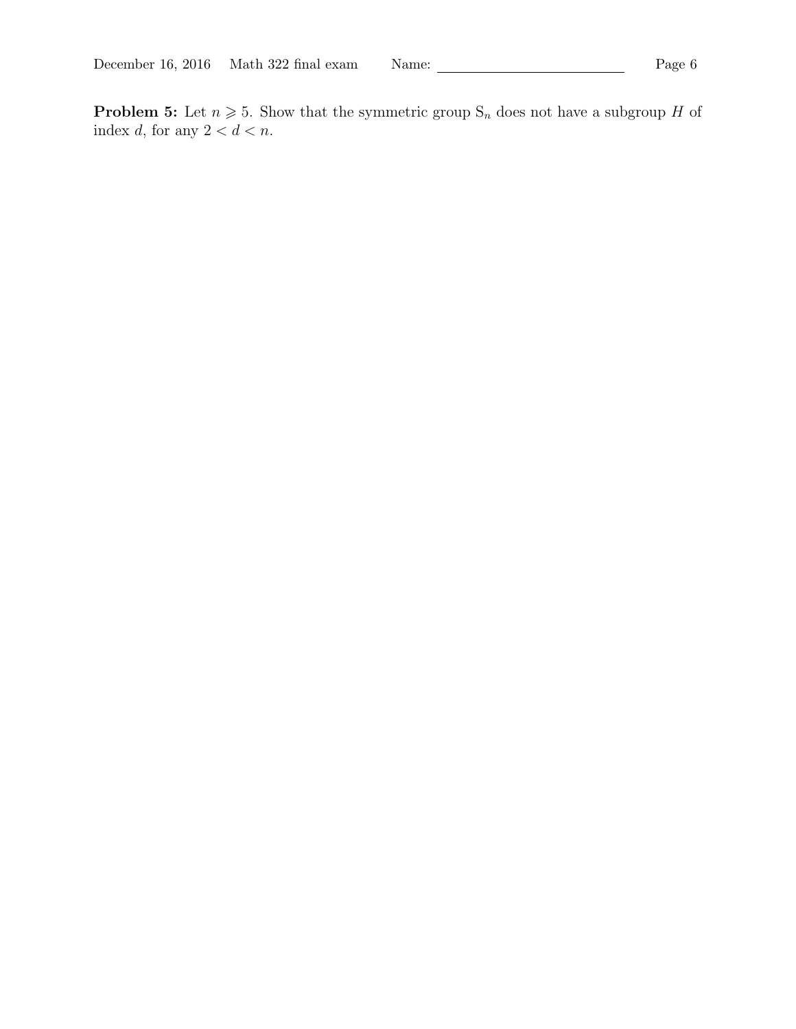**Problem 5:** Let  $n \ge 5$ . Show that the symmetric group  $S_n$  does not have a subgroup H of index d, for any  $2 < d < n$ .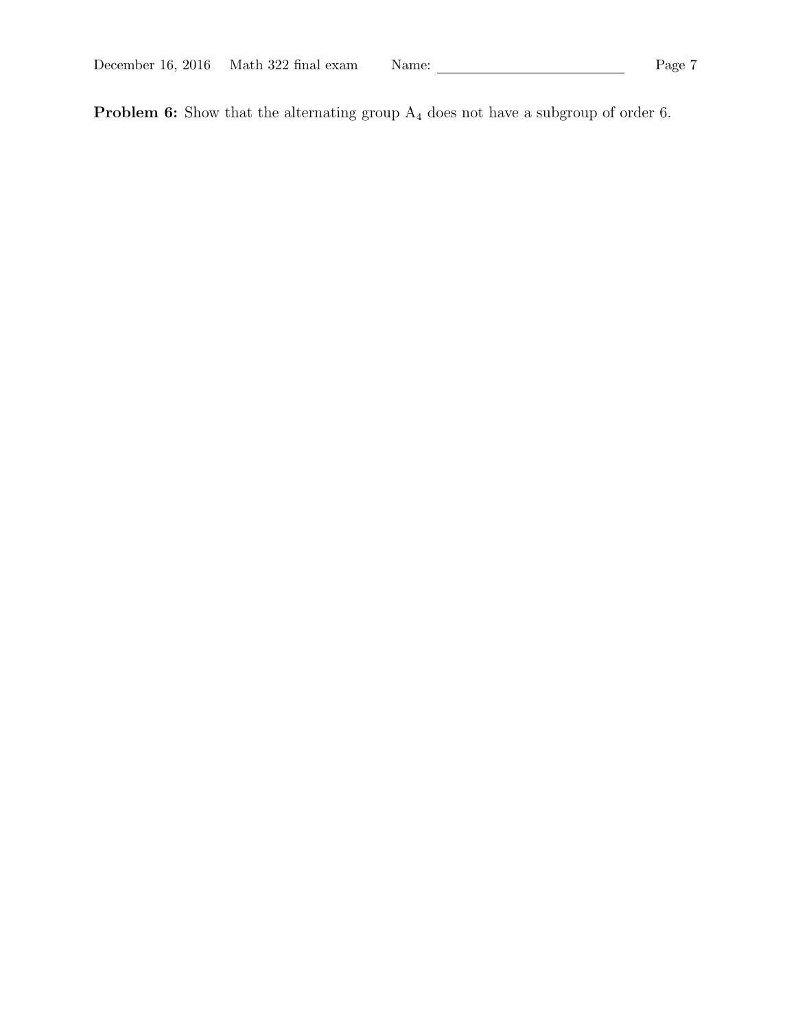| December 16, 2016 Math 322 final exam<br>Page 7<br>Name: |  |
|----------------------------------------------------------|--|
|----------------------------------------------------------|--|

**Problem 6:** Show that the alternating group  $A_4$  does not have a subgroup of order 6.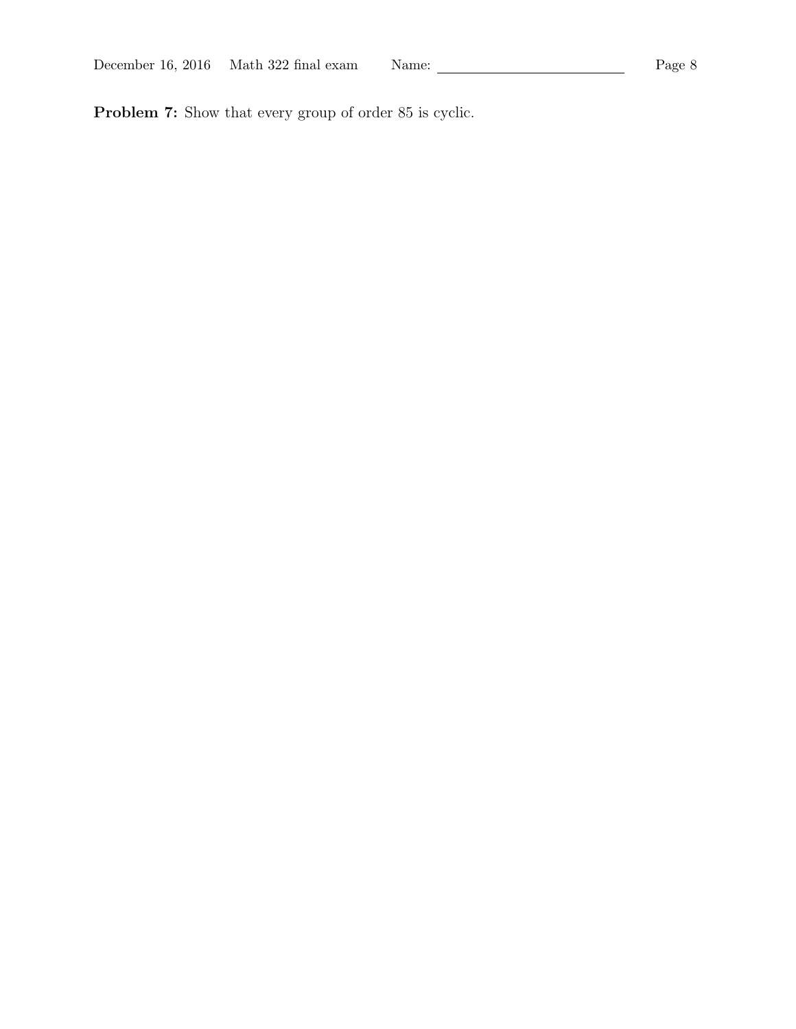Problem 7: Show that every group of order 85 is cyclic.